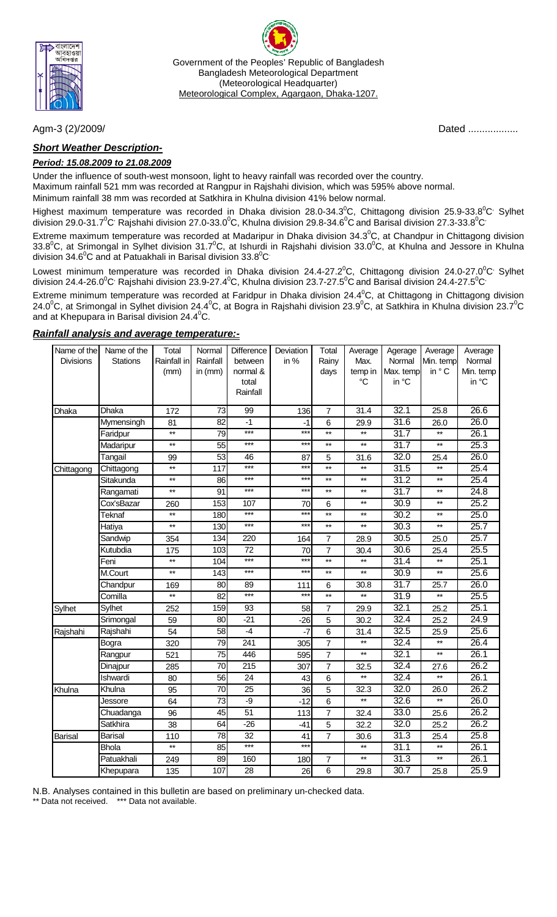

Government of the Peoples' Republic of Bangladesh Bangladesh Meteorological Department (Meteorological Headquarter) Meteorological Complex, Agargaon, Dhaka-1207.

## *Short Weather Description-*

### *Period: 15.08.2009 to 21.08.2009*

Under the influence of south-west monsoon, light to heavy rainfall was recorded over the country.

Maximum rainfall 521 mm was recorded at Rangpur in Rajshahi division, which was 595% above normal.

Minimum rainfall 38 mm was recorded at Satkhira in Khulna division 41% below normal.

Highest maximum temperature was recorded in Dhaka division 28.0-34.3<sup>0</sup>C, Chittagong division 25.9-33.8<sup>0</sup>C<sup>,</sup> Sylhet division 29.0-31.7 $^0$ C<sup>,</sup> Rajshahi division 27.0-33.0 $^0$ C, Khulna division 29.8-34.6 $^0$ C and Barisal division 27.3-33.8 $^0$ C

Extreme maximum temperature was recorded at Madaripur in Dhaka division 34.3<sup>0</sup>C, at Chandpur in Chittagong division 33.8<sup>0</sup>C, at Srimongal in Sylhet division 31.7<sup>0</sup>C, at Ishurdi in Rajshahi division 33.0<sup>0</sup>C, at Khulna and Jessore in Khulna division 34.6<sup>0</sup>C and at Patuakhali in Barisal division 33.8<sup>0</sup>C

Lowest minimum temperature was recorded in Dhaka division 24.4-27.2 $^0$ C, Chittagong division 24.0-27.0 $^0$ C' Sylhet division 24.4-26.0 $^0$ C<sup>,</sup> Rajshahi division 23.9-27.4 $^0$ C, Khulna division 23.7-27.5 $^0$ C and Barisal division 24.4-27.5 $^0$ C $^{\cdot}$ 

Extreme minimum temperature was recorded at Faridpur in Dhaka division 24.4 $^0$ C, at Chittagong in Chittagong division 24.0 $^0$ C, at Srimongal in Sylhet division 24.4 $^0$ C, at Bogra in Rajshahi division 23.9 $^0$ C, at Satkhira in Khulna division 23.7 $^0$ C and at Khepupara in Barisal division 24.4 $^0$ C.

### *Rainfall analysis and average temperature:-*

| Name of the      | Name of the     | Total           | Normal          | Difference | Deviation | Total           | Average         | Agerage           | Average         | Average           |
|------------------|-----------------|-----------------|-----------------|------------|-----------|-----------------|-----------------|-------------------|-----------------|-------------------|
| <b>Divisions</b> | <b>Stations</b> | Rainfall in     | Rainfall        | between    | in %      | Rainy           | Max.            | Normal            | Min. temp       | Normal            |
|                  |                 | (mm)            | in (mm)         | normal &   |           | days            | temp in         | Max. temp         | in ° C          | Min. temp         |
|                  |                 |                 |                 | total      |           |                 | $\rm ^{\circ}C$ | in °C             |                 | in °C             |
|                  |                 |                 |                 | Rainfall   |           |                 |                 |                   |                 |                   |
| Dhaka            | Dhaka           | 172             | 73              | 99         | 136       | 7               | 31.4            | 32.1              | 25.8            | 26.6              |
|                  | Mymensingh      | 81              | 82              | $-1$       | $-1$      | 6               | 29.9            | 31.6              | 26.0            | 26.0              |
|                  | Faridpur        | $**$            | 79              | $***$      | $***$     | $***$           | $^{\star\star}$ | 31.7              | $^{\star\star}$ | 26.1              |
|                  | Madaripur       | $***$           | $\overline{55}$ | $***$      | $***$     | $\star\star$    | $\star\star$    | 31.7              | $^{\star\star}$ | 25.3              |
|                  | Tangail         | 99              | $\overline{53}$ | 46         | 87        | 5               | 31.6            | 32.0              | 25.4            | 26.0              |
| Chittagong       | Chittagong      | $***$           | 117             | $***$      | $***$     | $\star\star$    | $^{\star\star}$ | $\overline{31.5}$ | $^{\star\star}$ | 25.4              |
|                  | Sitakunda       | $\star\star$    | 86              | ***        | $***$     | $\star\star$    | $\star\star$    | $\overline{31.2}$ | $^{\star\star}$ | 25.4              |
|                  | Rangamati       | $\star\star$    | 91              | ***        | $***$     | $\star\star$    | $^{\star\star}$ | 31.7              | $\star\star$    | $\overline{24.8}$ |
|                  | Cox'sBazar      | 260             | 153             | 107        | 70        | 6               | $***$           | 30.9              | $^{\star\star}$ | 25.2              |
|                  | Teknaf          | $^{\star\star}$ | 180             | $***$      | $***$     | $^{\star\star}$ | $^{\star\star}$ | 30.2              | $^{\star\star}$ | 25.0              |
|                  | Hatiya          | $\star\star$    | 130             | ***        | $***$     | $^{\star\star}$ | $\star\star$    | 30.3              | $\star\star$    | 25.7              |
|                  | Sandwip         | 354             | 134             | 220        | 164       | $\overline{7}$  | 28.9            | 30.5              | 25.0            | 25.7              |
|                  | Kutubdia        | 175             | 103             | 72         | 70        | 7               | 30.4            | 30.6              | 25.4            | 25.5              |
|                  | Feni            | $\star\star$    | 104             | $***$      | $***$     | $\star\star$    | $\star\star$    | $\overline{31.4}$ | $\star\star$    | 25.1              |
|                  | M.Court         | $\star\star$    | 143             | ***        | $***$     | $\star\star$    | $\star\star$    | 30.9              | $\star\star$    | 25.6              |
|                  | Chandpur        | 169             | 80              | 89         | 111       | 6               | 30.8            | 31.7              | 25.7            | 26.0              |
|                  | Comilla         | $\star\star$    | 82              | $***$      | $***$     | $\star\star$    | $^{\star\star}$ | 31.9              | $\star\star$    | 25.5              |
| Sylhet           | Sylhet          | 252             | 159             | 93         | 58        | $\overline{7}$  | 29.9            | 32.1              | 25.2            | 25.1              |
|                  | Srimongal       | 59              | 80              | $-21$      | $-26$     | 5               | 30.2            | 32.4              | 25.2            | 24.9              |
| Rajshahi         | Rajshahi        | 54              | 58              | $-4$       | $-7$      | 6               | 31.4            | 32.5              | 25.9            | 25.6              |
|                  | Bogra           | 320             | 79              | 241        | 305       | $\overline{7}$  | $^{\star\star}$ | 32.4              | $\star\star$    | 26.4              |
|                  | Rangpur         | 521             | 75              | 446        | 595       | $\overline{7}$  | $\star\star$    | 32.1              | $\star\star$    | 26.1              |
|                  | Dinajpur        | 285             | 70              | 215        | 307       | $\overline{7}$  | 32.5            | 32.4              | 27.6            | 26.2              |
|                  | Ishwardi        | 80              | 56              | 24         | 43        | 6               | $\star\star$    | 32.4              | $\star\star$    | 26.1              |
| Khulna           | Khulna          | 95              | 70              | 25         | 36        | 5               | 32.3            | 32.0              | 26.0            | 26.2              |
|                  | Jessore         | 64              | 73              | -9         | $-12$     | 6               | $\star\star$    | 32.6              | $\star\star$    | 26.0              |
|                  | Chuadanga       | 96              | 45              | 51         | 113       | $\overline{7}$  | 32.4            | 33.0              | 25.6            | 26.2              |
|                  | Satkhira        | 38              | 64              | $-26$      | $-41$     | 5               | 32.2            | 32.0              | 25.2            | 26.2              |
| <b>Barisal</b>   | <b>Barisal</b>  | 110             | 78              | 32         | 41        | $\overline{7}$  | 30.6            | $\overline{31.3}$ | 25.4            | 25.8              |
|                  | <b>Bhola</b>    | $\star\star$    | 85              | ***        | $***$     |                 | $^{\star\star}$ | 31.1              | $\star\star$    | 26.1              |
|                  | Patuakhali      | 249             | 89              | 160        | 180       | $\overline{7}$  | $\star\star$    | 31.3              | $^{\star\star}$ | 26.1              |
|                  | Khepupara       | 135             | 107             | 28         | 26        | 6               | 29.8            | $\overline{30.7}$ | 25.8            | 25.9              |

N.B. Analyses contained in this bulletin are based on preliminary un-checked data.

\* Data not received. \*\*\* Data not available.

Agm-3 (2)/2009/ Dated ..................